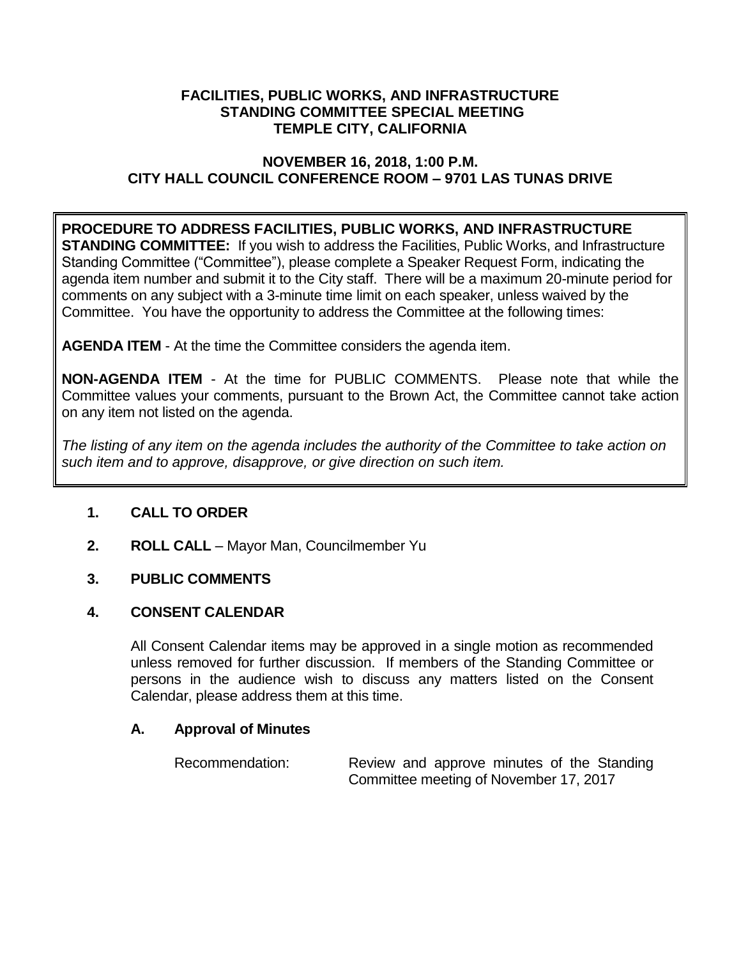### **FACILITIES, PUBLIC WORKS, AND INFRASTRUCTURE STANDING COMMITTEE SPECIAL MEETING TEMPLE CITY, CALIFORNIA**

## **NOVEMBER 16, 2018, 1:00 P.M. CITY HALL COUNCIL CONFERENCE ROOM – 9701 LAS TUNAS DRIVE**

# **PROCEDURE TO ADDRESS FACILITIES, PUBLIC WORKS, AND INFRASTRUCTURE**

**STANDING COMMITTEE:** If you wish to address the Facilities, Public Works, and Infrastructure Standing Committee ("Committee"), please complete a Speaker Request Form, indicating the agenda item number and submit it to the City staff. There will be a maximum 20-minute period for comments on any subject with a 3-minute time limit on each speaker, unless waived by the Committee. You have the opportunity to address the Committee at the following times:

**AGENDA ITEM** - At the time the Committee considers the agenda item.

**NON-AGENDA ITEM** - At the time for PUBLIC COMMENTS. Please note that while the Committee values your comments, pursuant to the Brown Act, the Committee cannot take action on any item not listed on the agenda.

*The listing of any item on the agenda includes the authority of the Committee to take action on such item and to approve, disapprove, or give direction on such item.*

## **1. CALL TO ORDER**

**2. ROLL CALL** – Mayor Man, Councilmember Yu

## **3. PUBLIC COMMENTS**

### **4. CONSENT CALENDAR**

All Consent Calendar items may be approved in a single motion as recommended unless removed for further discussion. If members of the Standing Committee or persons in the audience wish to discuss any matters listed on the Consent Calendar, please address them at this time.

### **A. Approval of Minutes**

| Recommendation: |                                        |  |  |  |  |  | Review and approve minutes of the Standing |
|-----------------|----------------------------------------|--|--|--|--|--|--------------------------------------------|
|                 | Committee meeting of November 17, 2017 |  |  |  |  |  |                                            |